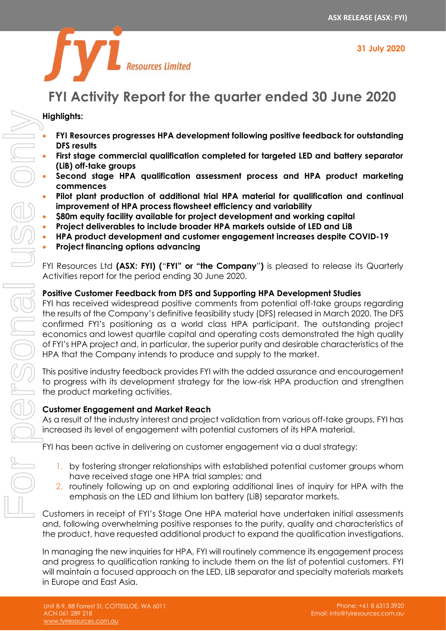# **Resources Limited**

# **FYI Activity Report for the quarter ended 30 June 2020**

#### **Highlights:**

- **FYI Resources progresses HPA development following positive feedback for outstanding DFS results**
- **First stage commercial qualification completed for targeted LED and battery separator (LiB) off-take groups**
- **Second stage HPA qualification assessment process and HPA product marketing commences**
- **Pilot plant production of additional trial HPA material for qualification and continual improvement of HPA process flowsheet efficiency and variability**
- **\$80m equity facility available for project development and working capital**
- **Project deliverables to include broader HPA markets outside of LED and LiB**
- **HPA product development and customer engagement increases despite COVID-19**
- **Project financing options advancing**

FYI Resources Ltd **(ASX: FYI) (**"**FYI" or "the Company**"**)** is pleased to release its Quarterly Activities report for the period ending 30 June 2020.

## **Positive Customer Feedback from DFS and Supporting HPA Development Studies**

FYI has received widespread positive comments from potential off-take groups regarding the results of the Company's definitive feasibility study (DFS) released in March 2020. The DFS confirmed FYI's positioning as a world class HPA participant. The outstanding project economics and lowest quartile capital and operating costs demonstrated the high quality of FYI's HPA project and, in particular, the superior purity and desirable characteristics of the HPA that the Company intends to produce and supply to the market.

This positive industry feedback provides FYI with the added assurance and encouragement to progress with its development strategy for the low-risk HPA production and strengthen the product marketing activities.

## **Customer Engagement and Market Reach**

As a result of the industry interest and project validation from various off-take groups, FYI has increased its level of engagement with potential customers of its HPA material.

FYI has been active in delivering on customer engagement via a dual strategy:

- 1. by fostering stronger relationships with established potential customer groups whom have received stage one HPA trial samples; and
- 2. routinely following up on and exploring additional lines of inquiry for HPA with the emphasis on the LED and lithium Ion battery (LiB) separator markets.

Customers in receipt of FYI's Stage One HPA material have undertaken initial assessments and, following overwhelming positive responses to the purity, quality and characteristics of the product, have requested additional product to expand the qualification investigations.

In managing the new inquiries for HPA, FYI will routinely commence its engagement process and progress to qualification ranking to include them on the list of potential customers. FYI will maintain a focused approach on the LED, LIB separator and specialty materials markets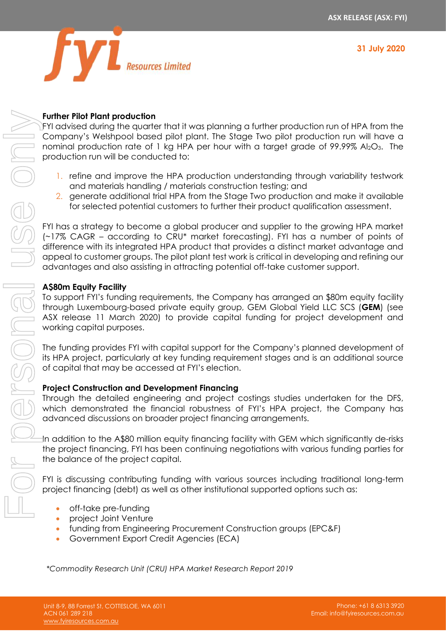**31 July 2020**



#### **Further Pilot Plant production**

FYI advised during the quarter that it was planning a further production run of HPA from the Company's Welshpool based pilot plant. The Stage Two pilot production run will have a nominal production rate of 1 kg HPA per hour with a target grade of 99.99% Al<sub>2</sub>O<sub>3</sub>. The production run will be conducted to:

- 1. refine and improve the HPA production understanding through variability testwork and materials handling / materials construction testing; and
- 2. generate additional trial HPA from the Stage Two production and make it available for selected potential customers to further their product qualification assessment.

FYI has a strategy to become a global producer and supplier to the growing HPA market (~17% CAGR – according to CRU\* market forecasting). FYI has a number of points of difference with its integrated HPA product that provides a distinct market advantage and appeal to customer groups. The pilot plant test work is critical in developing and refining our advantages and also assisting in attracting potential off-take customer support.

#### **A\$80m Equity Facility**

To support FYI's funding requirements, the Company has arranged an \$80m equity facility through Luxembourg-based private equity group, GEM Global Yield LLC SCS (**GEM**) (see ASX release 11 March 2020) to provide capital funding for project development and working capital purposes.

The funding provides FYI with capital support for the Company's planned development of its HPA project, particularly at key funding requirement stages and is an additional source of capital that may be accessed at FYI's election.

#### **Project Construction and Development Financing**

Through the detailed engineering and project costings studies undertaken for the DFS, which demonstrated the financial robustness of FYI's HPA project, the Company has advanced discussions on broader project financing arrangements.

In addition to the A\$80 million equity financing facility with GEM which significantly de-risks the project financing, FYI has been continuing negotiations with various funding parties for the balance of the project capital.

FYI is discussing contributing funding with various sources including traditional long-term project financing (debt) as well as other institutional supported options such as:

- off-take pre-funding
- project Joint Venture
- funding from Engineering Procurement Construction groups (EPC&F)
- Government Export Credit Agencies (ECA)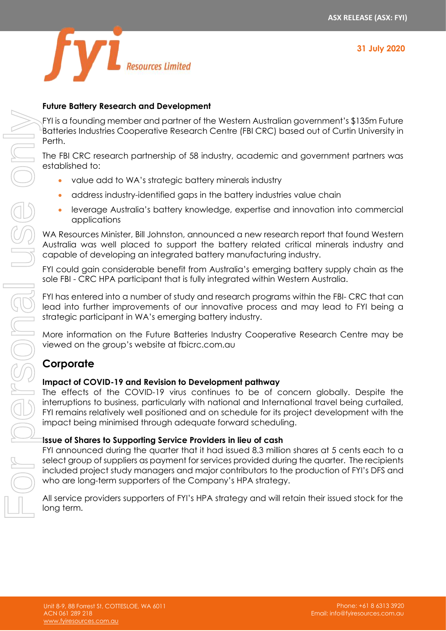



### **Future Battery Research and Development**

FYI is a founding member and partner of the [Western Australian government's \\$135m Future](https://stockhead.com.au/resources/industry-interest-in-new-battery-metals-research-centre-is-gathering-steam/)  [Batteries Industries Cooperative Research Centre \(FBI CRC\)](https://stockhead.com.au/resources/industry-interest-in-new-battery-metals-research-centre-is-gathering-steam/) based out of Curtin University in Perth.

The FBI CRC research partnership of 58 industry, academic and government partners was established to:

- value add to WA's strategic battery minerals industry
- address industry-identified gaps in the battery industries value chain
- leverage Australia's battery knowledge, expertise and innovation into commercial applications

WA Resources Minister, Bill Johnston, announced a new research report that found Western Australia was well placed to support the battery related critical minerals industry and capable of developing an integrated battery manufacturing industry.

FYI could gain considerable benefit from Australia's emerging battery supply chain as the sole FBI - CRC HPA participant that is fully integrated within Western Australia.

FYI has entered into a number of study and research programs within the FBI- CRC that can lead into further improvements of our innovative process and may lead to FYI being a strategic participant in WA's emerging battery industry.

More information on the Future Batteries Industry Cooperative Research Centre may be viewed on the group's website at fbicrc.com.au

# **Corporate**

## **Impact of COVID-19 and Revision to Development pathway**

The effects of the COVID-19 virus continues to be of concern globally. Despite the interruptions to business, particularly with national and International travel being curtailed, FYI remains relatively well positioned and on schedule for its project development with the impact being minimised through adequate forward scheduling.

#### **Issue of Shares to Supporting Service Providers in lieu of cash**

FYI announced during the quarter that it had issued 8.3 million shares at 5 cents each to a select group of suppliers as payment for services provided during the quarter. The recipients included project study managers and major contributors to the production of FYI's DFS and who are long-term supporters of the Company's HPA strategy.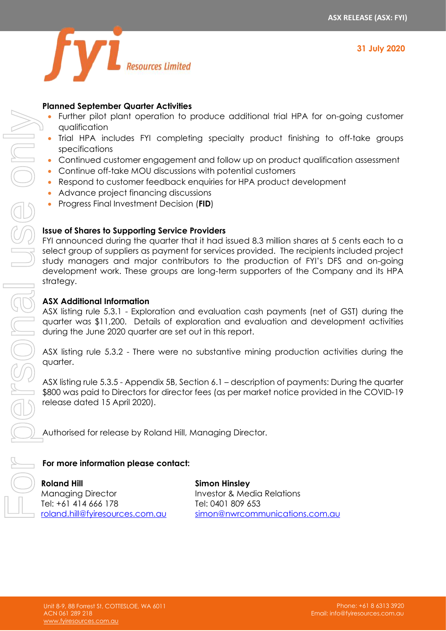

#### **Planned September Quarter Activities**

- Further pilot plant operation to produce additional trial HPA for on-going customer qualification
- Trial HPA includes FYI completing specialty product finishing to off-take groups specifications
- Continued customer engagement and follow up on product qualification assessment
- Continue off-take MOU discussions with potential customers
- Respond to customer feedback enquiries for HPA product development
- Advance project financing discussions
- Progress Final Investment Decision (**FID**)

#### **Issue of Shares to Supporting Service Providers**

FYI announced during the quarter that it had issued 8.3 million shares at 5 cents each to a select group of suppliers as payment for services provided. The recipients included project study managers and major contributors to the production of FYI's DFS and on-going development work. These groups are long-term supporters of the Company and its HPA strategy.

#### **ASX Additional Information**

ASX listing rule 5.3.1 - Exploration and evaluation cash payments (net of GST) during the quarter was \$11,200. Details of exploration and evaluation and development activities during the June 2020 quarter are set out in this report.

ASX listing rule 5.3.2 - There were no substantive mining production activities during the quarter.

ASX listing rule 5.3.5 - Appendix 5B, Section 6.1 – description of payments: During the quarter \$800 was paid to Directors for director fees (as per market notice provided in the COVID-19 release dated 15 April 2020).

Authorised for release by Roland Hill, Managing Director.

#### **For more information please contact:**

**Roland Hill** Managing Director Tel: +61 414 666 178 [roland.hill@fyiresources.com.au](mailto:roland.hill@fyiresources.com.au) **Simon Hinsley** Investor & Media Relations Tel: 0401 809 653 [simon@nwrcommunications.com.au](mailto:simon@nwrcommunications.com.au)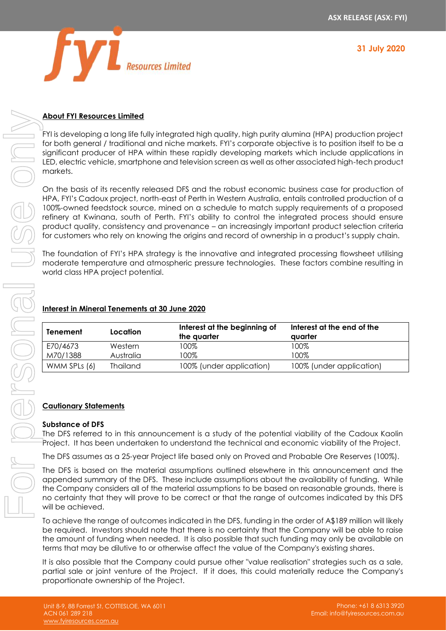**31 July 2020**



#### **About FYI Resources Limited**

FYI is developing a long life fully integrated high quality, high purity alumina (HPA) production project for both general / traditional and niche markets. FYI's corporate objective is to position itself to be a significant producer of HPA within these rapidly developing markets which include applications in LED, electric vehicle, smartphone and television screen as well as other associated high-tech product markets.

On the basis of its recently released DFS and the robust economic business case for production of HPA, FYI's Cadoux project, north-east of Perth in Western Australia, entails controlled production of a 100%-owned feedstock source, mined on a schedule to match supply requirements of a proposed refinery at Kwinana, south of Perth. FYI's ability to control the integrated process should ensure product quality, consistency and provenance – an increasingly important product selection criteria for customers who rely on knowing the origins and record of ownership in a product's supply chain.

The foundation of FYI's HPA strategy is the innovative and integrated processing flowsheet utilising moderate temperature and atmospheric pressure technologies. These factors combine resulting in world class HPA project potential.

| <b>Tenement</b> | Location        | Interest at the beginning of<br>the avarter | Interest at the end of the<br>avarter |
|-----------------|-----------------|---------------------------------------------|---------------------------------------|
| E70/4673        | Western         | 100%                                        | 100%                                  |
| M70/1388        | Australia       | 100%                                        | 100%                                  |
| WMM SPLs (6)    | <b>Thailand</b> | 100% (under application)                    | 100% (under application)              |

#### **Interest in Mineral Tenements at 30 June 2020**

#### **Cautionary Statements**

#### **Substance of DFS**

The DFS referred to in this announcement is a study of the potential viability of the Cadoux Kaolin Project. It has been undertaken to understand the technical and economic viability of the Project.

The DFS assumes as a 25-year Project life based only on Proved and Probable Ore Reserves (100%).

The DFS is based on the material assumptions outlined elsewhere in this announcement and the appended summary of the DFS. These include assumptions about the availability of funding. While the Company considers all of the material assumptions to be based on reasonable grounds, there is no certainty that they will prove to be correct or that the range of outcomes indicated by this DFS will be achieved.

To achieve the range of outcomes indicated in the DFS, funding in the order of A\$189 million will likely be required. Investors should note that there is no certainty that the Company will be able to raise the amount of funding when needed. It is also possible that such funding may only be available on terms that may be dilutive to or otherwise affect the value of the Company's existing shares.

It is also possible that the Company could pursue other "value realisation" strategies such as a sale, partial sale or joint venture of the Project. If it does, this could materially reduce the Company's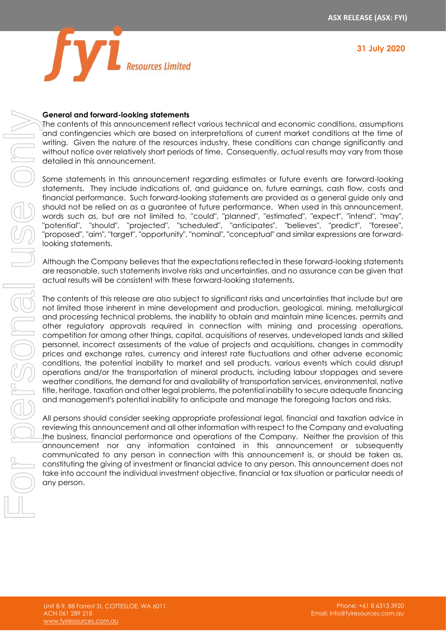

#### **General and forward-looking statements**

The contents of this announcement reflect various technical and economic conditions, assumptions and contingencies which are based on interpretations of current market conditions at the time of writing. Given the nature of the resources industry, these conditions can change significantly and without notice over relatively short periods of time. Consequently, actual results may vary from those detailed in this announcement.

Some statements in this announcement regarding estimates or future events are forward-looking statements. They include indications of, and guidance on, future earnings, cash flow, costs and financial performance. Such forward-looking statements are provided as a general guide only and should not be relied on as a guarantee of future performance. When used in this announcement, words such as, but are not limited to, "could", "planned", "estimated", "expect", "intend", "may", "potential", "should", "projected", "scheduled", "anticipates", "believes", "predict", "foresee", "proposed", "aim", "target", "opportunity", "nominal", "conceptual" and similar expressions are forwardlooking statements.

Although the Company believes that the expectations reflected in these forward-looking statements are reasonable, such statements involve risks and uncertainties, and no assurance can be given that actual results will be consistent with these forward-looking statements.

The contents of this release are also subject to significant risks and uncertainties that include but are not limited those inherent in mine development and production, geological, mining, metallurgical and processing technical problems, the inability to obtain and maintain mine licences, permits and other regulatory approvals required in connection with mining and processing operations, competition for among other things, capital, acquisitions of reserves, undeveloped lands and skilled personnel, incorrect assessments of the value of projects and acquisitions, changes in commodity prices and exchange rates, currency and interest rate fluctuations and other adverse economic conditions, the potential inability to market and sell products, various events which could disrupt operations and/or the transportation of mineral products, including labour stoppages and severe weather conditions, the demand for and availability of transportation services, environmental, native title, heritage, taxation and other legal problems, the potential inability to secure adequate financing and management's potential inability to anticipate and manage the foregoing factors and risks.

All persons should consider seeking appropriate professional legal, financial and taxation advice in reviewing this announcement and all other information with respect to the Company and evaluating the business, financial performance and operations of the Company. Neither the provision of this announcement nor any information contained in this announcement or subsequently communicated to any person in connection with this announcement is, or should be taken as, constituting the giving of investment or financial advice to any person. This announcement does not take into account the individual investment objective, financial or tax situation or particular needs of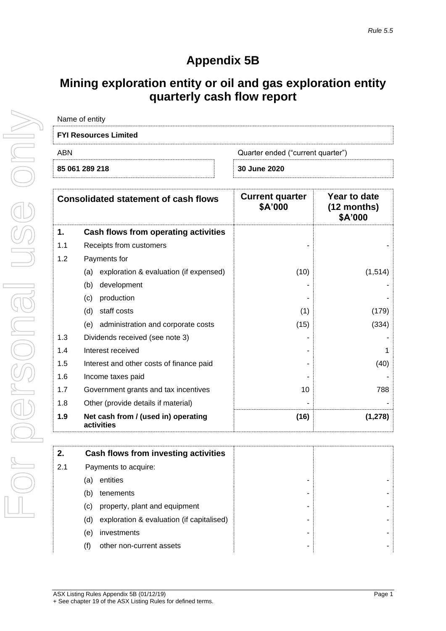# **Appendix 5B**

# **Mining exploration entity or oil and gas exploration entity quarterly cash flow report**

| Name of entity               |                                   |  |
|------------------------------|-----------------------------------|--|
| <b>FYI Resources Limited</b> |                                   |  |
| ABN                          | Quarter ended ("current quarter") |  |
| 85 061 289 218               | 30 June 2020                      |  |

|     | <b>Consolidated statement of cash flows</b>       | <b>Current quarter</b><br>\$A'000 | Year to date<br>$(12$ months)<br>\$A'000 |
|-----|---------------------------------------------------|-----------------------------------|------------------------------------------|
| 1.  | Cash flows from operating activities              |                                   |                                          |
| 1.1 | Receipts from customers                           |                                   |                                          |
| 1.2 | Payments for                                      |                                   |                                          |
|     | exploration & evaluation (if expensed)<br>(a)     | (10)                              | (1, 514)                                 |
|     | (b)<br>development                                |                                   |                                          |
|     | production<br>(c)                                 |                                   |                                          |
|     | (d)<br>staff costs                                | (1)                               | (179)                                    |
|     | administration and corporate costs<br>(e)         | (15)                              | (334)                                    |
| 1.3 | Dividends received (see note 3)                   |                                   |                                          |
| 1.4 | Interest received                                 |                                   |                                          |
| 1.5 | Interest and other costs of finance paid          |                                   | (40)                                     |
| 1.6 | Income taxes paid                                 |                                   |                                          |
| 1.7 | Government grants and tax incentives              | 10                                | 788                                      |
| 1.8 | Other (provide details if material)               |                                   |                                          |
| 1.9 | Net cash from / (used in) operating<br>activities | (16)                              | (1, 278)                                 |

|     |     | Cash flows from investing activities      |  |
|-----|-----|-------------------------------------------|--|
| 2.1 |     | Payments to acquire:                      |  |
|     | a)  | entities                                  |  |
|     | (b) | tenements                                 |  |
|     | (c) | property, plant and equipment             |  |
|     | (d) | exploration & evaluation (if capitalised) |  |
|     | (e) | investments                               |  |
|     | (f) | other non-current assets                  |  |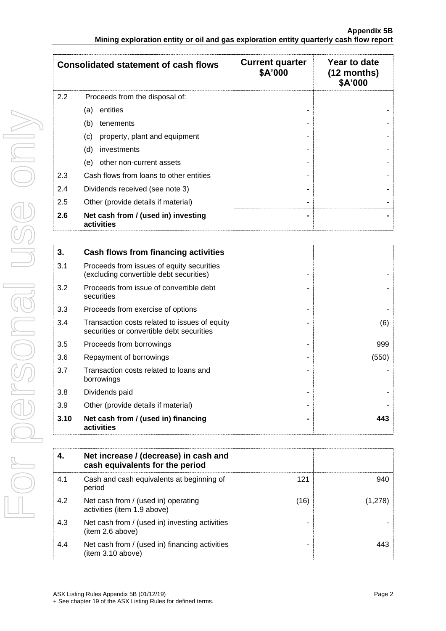|     | <b>Consolidated statement of cash flows</b>       | <b>Current quarter</b><br>\$A'000 | Year to date<br>$(12$ months)<br>\$A'000 |
|-----|---------------------------------------------------|-----------------------------------|------------------------------------------|
| 2.2 | Proceeds from the disposal of:                    |                                   |                                          |
|     | entities<br>(a)                                   |                                   |                                          |
|     | (b)<br>tenements                                  |                                   |                                          |
|     | (c)<br>property, plant and equipment              |                                   |                                          |
|     | (d)<br>investments                                |                                   |                                          |
|     | other non-current assets<br>(e)                   |                                   |                                          |
| 2.3 | Cash flows from loans to other entities           |                                   |                                          |
| 2.4 | Dividends received (see note 3)                   |                                   |                                          |
| 2.5 | Other (provide details if material)               |                                   |                                          |
| 2.6 | Net cash from / (used in) investing<br>activities |                                   |                                          |

| 3.   | Cash flows from financing activities                                                       |       |
|------|--------------------------------------------------------------------------------------------|-------|
| 3.1  | Proceeds from issues of equity securities<br>(excluding convertible debt securities)       |       |
| 3.2  | Proceeds from issue of convertible debt<br>securities                                      |       |
| 3.3  | Proceeds from exercise of options                                                          |       |
| 3.4  | Transaction costs related to issues of equity<br>securities or convertible debt securities | (6)   |
| 3.5  | Proceeds from borrowings                                                                   | 999   |
| 3.6  | Repayment of borrowings                                                                    | (550) |
| 3.7  | Transaction costs related to loans and<br>borrowings                                       |       |
| 3.8  | Dividends paid                                                                             |       |
| 3.9  | Other (provide details if material)                                                        |       |
| 3.10 | Net cash from / (used in) financing<br>activities                                          | 443   |

| -4. | Net increase / (decrease) in cash and<br>cash equivalents for the period |      |         |
|-----|--------------------------------------------------------------------------|------|---------|
| 4.1 | Cash and cash equivalents at beginning of<br>period                      | 121  | 940     |
| 4.2 | Net cash from / (used in) operating<br>activities (item 1.9 above)       | (16) | (1,278) |
| 4.3 | Net cash from / (used in) investing activities<br>(item 2.6 above)       |      |         |
| 4.4 | Net cash from / (used in) financing activities<br>item 3.10 above)       |      | 443     |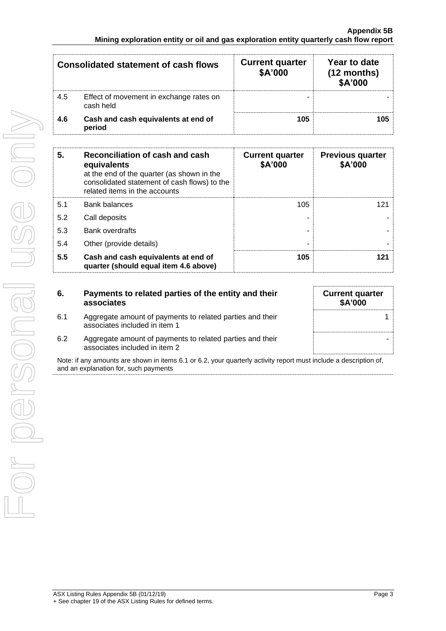| <b>Consolidated statement of cash flows</b> |                                                      | <b>Current quarter</b><br>\$A'000 | Year to date<br>$(12$ months)<br>\$A'000 |
|---------------------------------------------|------------------------------------------------------|-----------------------------------|------------------------------------------|
| 4.5                                         | Effect of movement in exchange rates on<br>cash held |                                   |                                          |
| 4.6                                         | Cash and cash equivalents at end of<br>period        | 105                               |                                          |

| 5.  | Reconciliation of cash and cash<br>equivalents<br>at the end of the quarter (as shown in the<br>consolidated statement of cash flows) to the<br>related items in the accounts | <b>Current quarter</b><br>\$A'000 | <b>Previous quarter</b><br>\$A'000 |
|-----|-------------------------------------------------------------------------------------------------------------------------------------------------------------------------------|-----------------------------------|------------------------------------|
| 5.1 | <b>Bank balances</b>                                                                                                                                                          | 105                               | 121                                |
| 5.2 | Call deposits                                                                                                                                                                 |                                   |                                    |
| 5.3 | <b>Bank overdrafts</b>                                                                                                                                                        |                                   |                                    |
| 5.4 | Other (provide details)                                                                                                                                                       | -                                 |                                    |
| 5.5 | Cash and cash equivalents at end of<br>quarter (should equal item 4.6 above)                                                                                                  | 105                               |                                    |

| 6.  | Payments to related parties of the entity and their<br>associates                          | <b>Current quarter</b><br><b>\$A'000</b> |
|-----|--------------------------------------------------------------------------------------------|------------------------------------------|
| 6.1 | Aggregate amount of payments to related parties and their<br>associates included in item 1 |                                          |
| 6.2 | Aggregate amount of payments to related parties and their<br>associates included in item 2 |                                          |

Note: if any amounts are shown in items 6.1 or 6.2, your quarterly activity report must include a description of, and an explanation for, such payments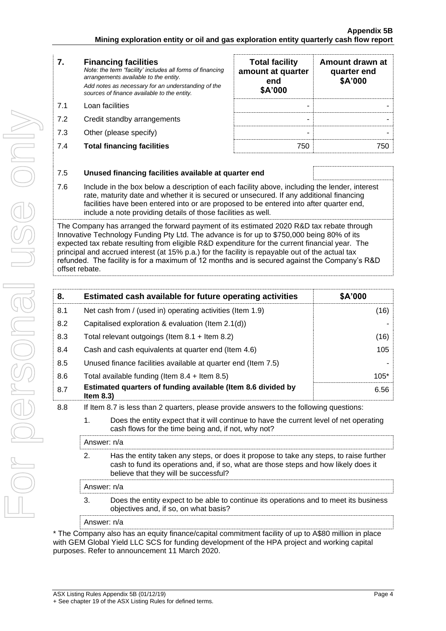*Note: the term "facility' includes all forms of financing arrangements available to the entity. Add notes as necessary for an understanding of the sources of finance available to the entity.*

- 7.1 Loan facilities
- 7.2 Credit standby arrangements
- 7.3 Other (please specify)
- **7.4 Total financing facilities**

| <b>Total facility</b><br>amount at quarter<br>end<br>\$A'000 | Amount drawn at<br>quarter end<br>\$A'000 |
|--------------------------------------------------------------|-------------------------------------------|
|                                                              |                                           |
|                                                              |                                           |
|                                                              |                                           |

#### 7.5 **Unused financing facilities available at quarter end** 7.6 Include in the box below a description of each facility above, including the lender, interest rate, maturity date and whether it is secured or unsecured. If any additional financing facilities have been entered into or are proposed to be entered into after quarter end, include a note providing details of those facilities as well. The Company has arranged the forward payment of its estimated 2020 R&D tax rebate through

Innovative Technology Funding Pty Ltd. The advance is for up to \$750,000 being 80% of its expected tax rebate resulting from eligible R&D expenditure for the current financial year. The principal and accrued interest (at 15% p.a.) for the facility is repayable out of the actual tax refunded. The facility is for a maximum of 12 months and is secured against the Company's R&D offset rebate.

| 8.  |                                                                                            | Estimated cash available for future operating activities                                                                                                                                                               | \$A'000 |  |
|-----|--------------------------------------------------------------------------------------------|------------------------------------------------------------------------------------------------------------------------------------------------------------------------------------------------------------------------|---------|--|
| 8.1 | Net cash from / (used in) operating activities (Item 1.9)                                  |                                                                                                                                                                                                                        | (16)    |  |
| 8.2 | Capitalised exploration & evaluation (Item 2.1(d))                                         |                                                                                                                                                                                                                        |         |  |
| 8.3 | Total relevant outgoings (Item $8.1 +$ Item $8.2$ )                                        |                                                                                                                                                                                                                        | (16)    |  |
| 8.4 | Cash and cash equivalents at quarter end (Item 4.6)                                        |                                                                                                                                                                                                                        | 105     |  |
| 8.5 |                                                                                            | Unused finance facilities available at quarter end (Item 7.5)                                                                                                                                                          |         |  |
| 8.6 | Total available funding (Item $8.4 +$ Item $8.5$ )                                         |                                                                                                                                                                                                                        | $105*$  |  |
| 8.7 |                                                                                            | Estimated quarters of funding available (Item 8.6 divided by<br>6.56<br>Item $8.3$ )                                                                                                                                   |         |  |
| 8.8 | If Item 8.7 is less than 2 quarters, please provide answers to the following questions:    |                                                                                                                                                                                                                        |         |  |
|     | 1 <sub>1</sub>                                                                             | Does the entity expect that it will continue to have the current level of net operating<br>cash flows for the time being and, if not, why not?                                                                         |         |  |
|     | Answer: n/a                                                                                |                                                                                                                                                                                                                        |         |  |
|     | 2.                                                                                         | Has the entity taken any steps, or does it propose to take any steps, to raise further<br>cash to fund its operations and, if so, what are those steps and how likely does it<br>believe that they will be successful? |         |  |
|     | Answer: n/a                                                                                |                                                                                                                                                                                                                        |         |  |
|     | 3<br>Does the entity expect to be able to continue its operations and to meet its business |                                                                                                                                                                                                                        |         |  |

3. Does the entity expect to be able to continue its operations and to meet its business objectives and, if so, on what basis?

Answer: n/a

\* The Company also has an equity finance/capital commitment facility of up to A\$80 million in place with GEM Global Yield LLC SCS for funding development of the HPA project and working capital purposes. Refer to announcement 11 March 2020.